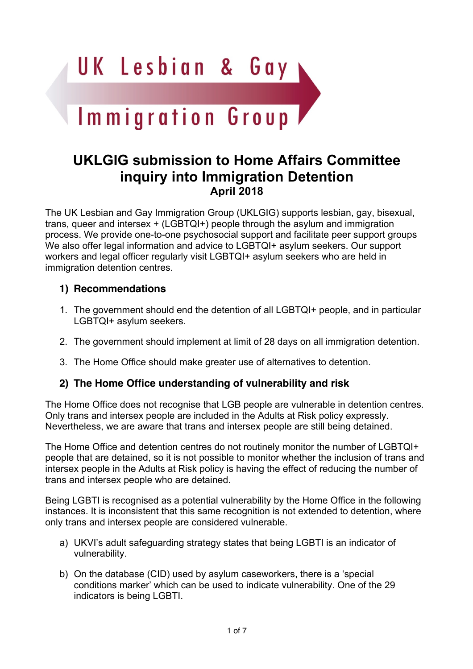

# **UKLGIG submission to Home Affairs Committee inquiry into Immigration Detention April 2018**

The UK Lesbian and Gay Immigration Group (UKLGIG) supports lesbian, gay, bisexual, trans, queer and intersex + (LGBTQI+) people through the asylum and immigration process. We provide one-to-one psychosocial support and facilitate peer support groups We also offer legal information and advice to LGBTQI+ asylum seekers. Our support workers and legal officer regularly visit LGBTQI+ asylum seekers who are held in immigration detention centres.

### **1) Recommendations**

- 1. The government should end the detention of all LGBTQI+ people, and in particular LGBTQI+ asylum seekers.
- 2. The government should implement at limit of 28 days on all immigration detention.
- 3. The Home Office should make greater use of alternatives to detention.

#### **2) The Home Office understanding of vulnerability and risk**

The Home Office does not recognise that LGB people are vulnerable in detention centres. Only trans and intersex people are included in the Adults at Risk policy expressly. Nevertheless, we are aware that trans and intersex people are still being detained.

The Home Office and detention centres do not routinely monitor the number of LGBTQI+ people that are detained, so it is not possible to monitor whether the inclusion of trans and intersex people in the Adults at Risk policy is having the effect of reducing the number of trans and intersex people who are detained.

Being LGBTI is recognised as a potential vulnerability by the Home Office in the following instances. It is inconsistent that this same recognition is not extended to detention, where only trans and intersex people are considered vulnerable.

- a) UKVI's adult safeguarding strategy states that being LGBTI is an indicator of vulnerability.
- b) On the database (CID) used by asylum caseworkers, there is a 'special conditions marker' which can be used to indicate vulnerability. One of the 29 indicators is being LGBTI.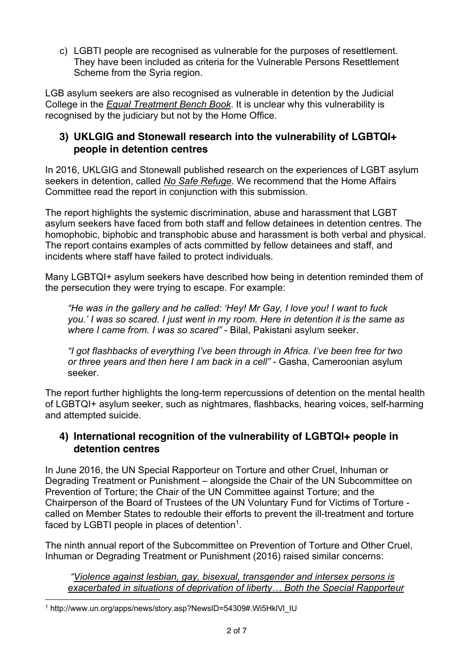c) LGBTI people are recognised as vulnerable for the purposes of resettlement. They have been included as criteria for the Vulnerable Persons Resettlement Scheme from the Syria region.

LGB asylum seekers are also recognised as vulnerable in detention by the Judicial College in the *Equal Treatment Bench Book*. It is unclear why this vulnerability is recognised by the judiciary but not by the Home Office.

#### **3) UKLGIG and Stonewall research into the vulnerability of LGBTQI+ people in detention centres**

In 2016, UKLGIG and Stonewall published research on the experiences of LGBT asylum seekers in detention, called *No Safe Refuge*. We recommend that the Home Affairs Committee read the report in conjunction with this submission.

The report highlights the systemic discrimination, abuse and harassment that LGBT asylum seekers have faced from both staff and fellow detainees in detention centres. The homophobic, biphobic and transphobic abuse and harassment is both verbal and physical. The report contains examples of acts committed by fellow detainees and staff, and incidents where staff have failed to protect individuals.

Many LGBTQI+ asylum seekers have described how being in detention reminded them of the persecution they were trying to escape. For example:

*"He was in the gallery and he called: 'Hey! Mr Gay, I love you! I want to fuck you.' I was so scared. I just went in my room. Here in detention it is the same as where I came from. I was so scared"* - Bilal, Pakistani asylum seeker.

*"I got flashbacks of everything I've been through in Africa. I've been free for two or three years and then here I am back in a cell"* - Gasha, Cameroonian asylum seeker.

The report further highlights the long-term repercussions of detention on the mental health of LGBTQI+ asylum seeker, such as nightmares, flashbacks, hearing voices, self-harming and attempted suicide.

#### **4) International recognition of the vulnerability of LGBTQI+ people in detention centres**

In June 2016, the UN Special Rapporteur on Torture and other Cruel, Inhuman or Degrading Treatment or Punishment – alongside the Chair of the UN Subcommittee on Prevention of Torture; the Chair of the UN Committee against Torture; and the Chairperson of the Board of Trustees of the UN Voluntary Fund for Victims of Torture called on Member States to redouble their efforts to prevent the ill-treatment and torture faced by LGBTI people in places of detention<sup>1</sup>.

The ninth annual report of the Subcommittee on Prevention of Torture and Other Cruel, Inhuman or Degrading Treatment or Punishment (2016) raised similar concerns:

*"Violence against lesbian, gay, bisexual, transgender and intersex persons is exacerbated in situations of deprivation of liberty… Both the Special Rapporteur*

<sup>&</sup>lt;sup>1</sup> http://www.un.org/apps/news/story.asp?NewsID=54309#.Wi5HkIVI\_IU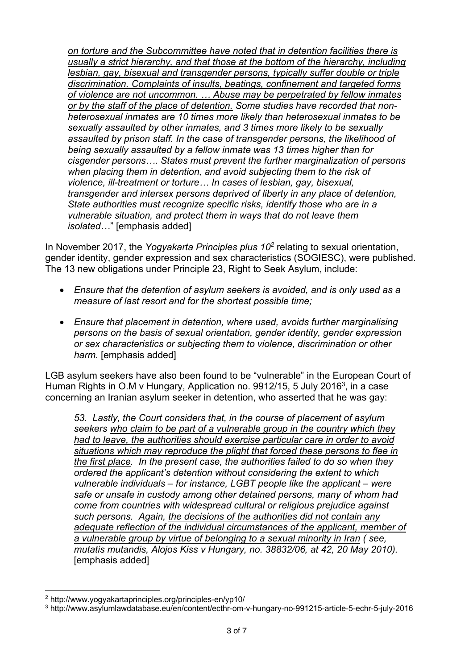*on torture and the Subcommittee have noted that in detention facilities there is usually a strict hierarchy, and that those at the bottom of the hierarchy, including lesbian, gay, bisexual and transgender persons, typically suffer double or triple discrimination. Complaints of insults, beatings, confinement and targeted forms of violence are not uncommon. … Abuse may be perpetrated by fellow inmates or by the staff of the place of detention. Some studies have recorded that nonheterosexual inmates are 10 times more likely than heterosexual inmates to be sexually assaulted by other inmates, and 3 times more likely to be sexually assaulted by prison staff. In the case of transgender persons, the likelihood of being sexually assaulted by a fellow inmate was 13 times higher than for cisgender persons…. States must prevent the further marginalization of persons when placing them in detention, and avoid subjecting them to the risk of violence, ill-treatment or torture… In cases of lesbian, gay, bisexual, transgender and intersex persons deprived of liberty in any place of detention, State authorities must recognize specific risks, identify those who are in a vulnerable situation, and protect them in ways that do not leave them isolated…*" [emphasis added]

In November 2017, the *Yogyakarta Principles plus 102* relating to sexual orientation, gender identity, gender expression and sex characteristics (SOGIESC), were published. The 13 new obligations under Principle 23, Right to Seek Asylum, include:

- *Ensure that the detention of asylum seekers is avoided, and is only used as a measure of last resort and for the shortest possible time;*
- *Ensure that placement in detention, where used, avoids further marginalising persons on the basis of sexual orientation, gender identity, gender expression or sex characteristics or subjecting them to violence, discrimination or other harm.* [emphasis added]

LGB asylum seekers have also been found to be "vulnerable" in the European Court of Human Rights in O.M v Hungary, Application no. 9912/15, 5 July 2016<sup>3</sup>, in a case concerning an Iranian asylum seeker in detention, who asserted that he was gay:

*53. Lastly, the Court considers that, in the course of placement of asylum seekers who claim to be part of a vulnerable group in the country which they had to leave, the authorities should exercise particular care in order to avoid situations which may reproduce the plight that forced these persons to flee in the first place. In the present case, the authorities failed to do so when they ordered the applicant's detention without considering the extent to which vulnerable individuals – for instance, LGBT people like the applicant – were safe or unsafe in custody among other detained persons, many of whom had come from countries with widespread cultural or religious prejudice against such persons. Again, the decisions of the authorities did not contain any adequate reflection of the individual circumstances of the applicant, member of a vulnerable group by virtue of belonging to a sexual minority in Iran ( see, mutatis mutandis, Alojos Kiss v Hungary, no. 38832/06, at 42, 20 May 2010).* [emphasis added]

<sup>2</sup> http://www.yogyakartaprinciples.org/principles-en/yp10/

<sup>3</sup> http://www.asylumlawdatabase.eu/en/content/ecthr-om-v-hungary-no-991215-article-5-echr-5-july-2016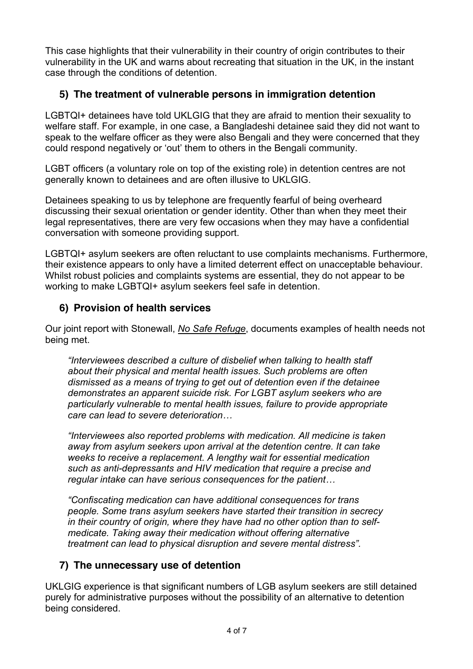This case highlights that their vulnerability in their country of origin contributes to their vulnerability in the UK and warns about recreating that situation in the UK, in the instant case through the conditions of detention.

## **5) The treatment of vulnerable persons in immigration detention**

LGBTQI+ detainees have told UKLGIG that they are afraid to mention their sexuality to welfare staff. For example, in one case, a Bangladeshi detainee said they did not want to speak to the welfare officer as they were also Bengali and they were concerned that they could respond negatively or 'out' them to others in the Bengali community.

LGBT officers (a voluntary role on top of the existing role) in detention centres are not generally known to detainees and are often illusive to UKLGIG.

Detainees speaking to us by telephone are frequently fearful of being overheard discussing their sexual orientation or gender identity. Other than when they meet their legal representatives, there are very few occasions when they may have a confidential conversation with someone providing support.

LGBTQI+ asylum seekers are often reluctant to use complaints mechanisms. Furthermore, their existence appears to only have a limited deterrent effect on unacceptable behaviour. Whilst robust policies and complaints systems are essential, they do not appear to be working to make LGBTQI+ asylum seekers feel safe in detention.

#### **6) Provision of health services**

Our joint report with Stonewall, *No Safe Refuge*, documents examples of health needs not being met.

*"Interviewees described a culture of disbelief when talking to health staff about their physical and mental health issues. Such problems are often dismissed as a means of trying to get out of detention even if the detainee demonstrates an apparent suicide risk. For LGBT asylum seekers who are particularly vulnerable to mental health issues, failure to provide appropriate care can lead to severe deterioration…*

*"Interviewees also reported problems with medication. All medicine is taken away from asylum seekers upon arrival at the detention centre. It can take weeks to receive a replacement. A lengthy wait for essential medication such as anti-depressants and HIV medication that require a precise and regular intake can have serious consequences for the patient…*

*"Confiscating medication can have additional consequences for trans people. Some trans asylum seekers have started their transition in secrecy in their country of origin, where they have had no other option than to selfmedicate. Taking away their medication without offering alternative treatment can lead to physical disruption and severe mental distress".*

#### **7) The unnecessary use of detention**

UKLGIG experience is that significant numbers of LGB asylum seekers are still detained purely for administrative purposes without the possibility of an alternative to detention being considered.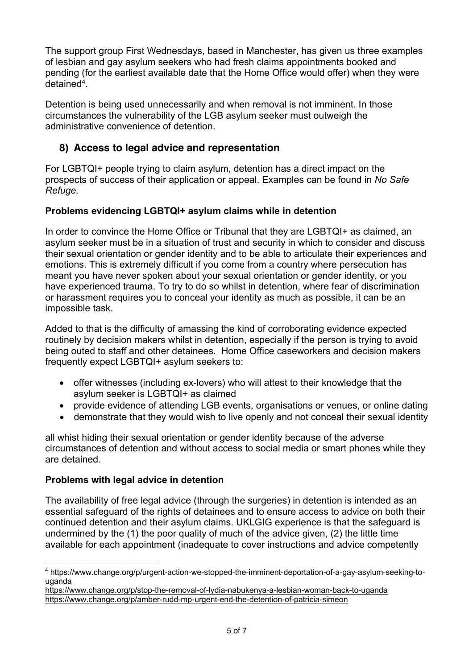The support group First Wednesdays, based in Manchester, has given us three examples of lesbian and gay asylum seekers who had fresh claims appointments booked and pending (for the earliest available date that the Home Office would offer) when they were detained4.

Detention is being used unnecessarily and when removal is not imminent. In those circumstances the vulnerability of the LGB asylum seeker must outweigh the administrative convenience of detention.

## **8) Access to legal advice and representation**

For LGBTQI+ people trying to claim asylum, detention has a direct impact on the prospects of success of their application or appeal. Examples can be found in *No Safe Refuge.*

#### **Problems evidencing LGBTQI+ asylum claims while in detention**

In order to convince the Home Office or Tribunal that they are LGBTQI+ as claimed, an asylum seeker must be in a situation of trust and security in which to consider and discuss their sexual orientation or gender identity and to be able to articulate their experiences and emotions. This is extremely difficult if you come from a country where persecution has meant you have never spoken about your sexual orientation or gender identity, or you have experienced trauma. To try to do so whilst in detention, where fear of discrimination or harassment requires you to conceal your identity as much as possible, it can be an impossible task.

Added to that is the difficulty of amassing the kind of corroborating evidence expected routinely by decision makers whilst in detention, especially if the person is trying to avoid being outed to staff and other detainees. Home Office caseworkers and decision makers frequently expect LGBTQI+ asylum seekers to:

- offer witnesses (including ex-lovers) who will attest to their knowledge that the asylum seeker is LGBTQI+ as claimed
- provide evidence of attending LGB events, organisations or venues, or online dating
- demonstrate that they would wish to live openly and not conceal their sexual identity

all whist hiding their sexual orientation or gender identity because of the adverse circumstances of detention and without access to social media or smart phones while they are detained.

#### **Problems with legal advice in detention**

The availability of free legal advice (through the surgeries) in detention is intended as an essential safeguard of the rights of detainees and to ensure access to advice on both their continued detention and their asylum claims. UKLGIG experience is that the safeguard is undermined by the (1) the poor quality of much of the advice given, (2) the little time available for each appointment (inadequate to cover instructions and advice competently

<sup>4</sup> https://www.change.org/p/urgent-action-we-stopped-the-imminent-deportation-of-a-gay-asylum-seeking-touganda

https://www.change.org/p/stop-the-removal-of-lydia-nabukenya-a-lesbian-woman-back-to-uganda https://www.change.org/p/amber-rudd-mp-urgent-end-the-detention-of-patricia-simeon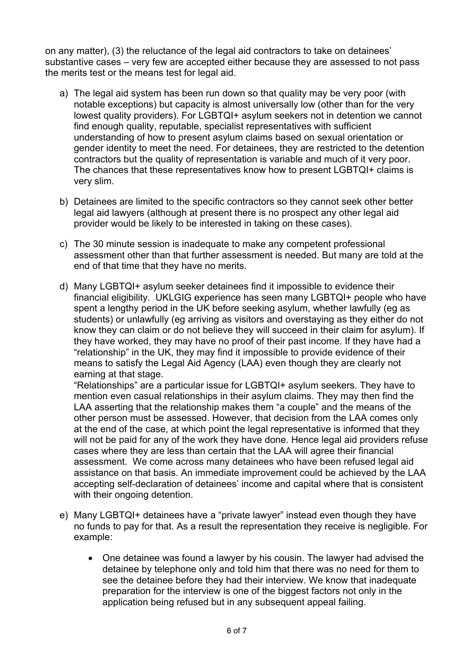on any matter), (3) the reluctance of the legal aid contractors to take on detainees' substantive cases – very few are accepted either because they are assessed to not pass the merits test or the means test for legal aid.

- a) The legal aid system has been run down so that quality may be very poor (with notable exceptions) but capacity is almost universally low (other than for the very lowest quality providers). For LGBTQI+ asylum seekers not in detention we cannot find enough quality, reputable, specialist representatives with sufficient understanding of how to present asylum claims based on sexual orientation or gender identity to meet the need. For detainees, they are restricted to the detention contractors but the quality of representation is variable and much of it very poor. The chances that these representatives know how to present LGBTQI+ claims is very slim.
- b) Detainees are limited to the specific contractors so they cannot seek other better legal aid lawyers (although at present there is no prospect any other legal aid provider would be likely to be interested in taking on these cases).
- c) The 30 minute session is inadequate to make any competent professional assessment other than that further assessment is needed. But many are told at the end of that time that they have no merits.
- d) Many LGBTQI+ asylum seeker detainees find it impossible to evidence their financial eligibility. UKLGIG experience has seen many LGBTQI+ people who have spent a lengthy period in the UK before seeking asylum, whether lawfully (eg as students) or unlawfully (eg arriving as visitors and overstaying as they either do not know they can claim or do not believe they will succeed in their claim for asylum). If they have worked, they may have no proof of their past income. If they have had a "relationship" in the UK, they may find it impossible to provide evidence of their means to satisfy the Legal Aid Agency (LAA) even though they are clearly not earning at that stage.

"Relationships" are a particular issue for LGBTQI+ asylum seekers. They have to mention even casual relationships in their asylum claims. They may then find the LAA asserting that the relationship makes them "a couple" and the means of the other person must be assessed. However, that decision from the LAA comes only at the end of the case, at which point the legal representative is informed that they will not be paid for any of the work they have done. Hence legal aid providers refuse cases where they are less than certain that the LAA will agree their financial assessment. We come across many detainees who have been refused legal aid assistance on that basis. An immediate improvement could be achieved by the LAA accepting self-declaration of detainees' income and capital where that is consistent with their ongoing detention.

- e) Many LGBTQI+ detainees have a "private lawyer" instead even though they have no funds to pay for that. As a result the representation they receive is negligible. For example:
	- One detainee was found a lawyer by his cousin. The lawyer had advised the detainee by telephone only and told him that there was no need for them to see the detainee before they had their interview. We know that inadequate preparation for the interview is one of the biggest factors not only in the application being refused but in any subsequent appeal failing.